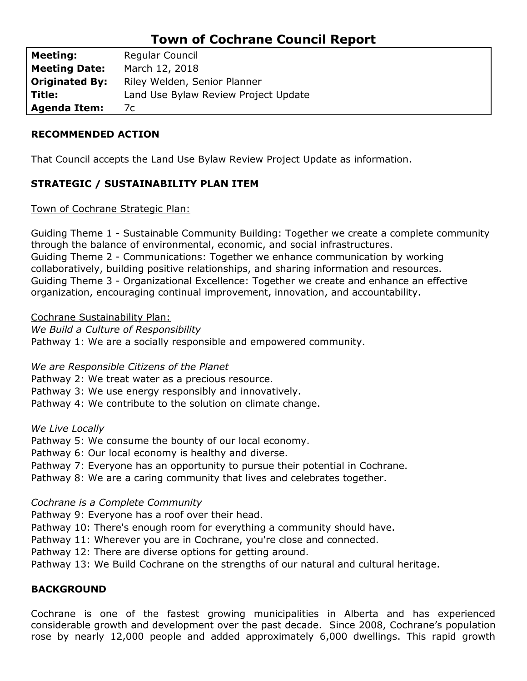# **Town of Cochrane Council Report**

| <b>Meeting:</b>       | Regular Council                      |  |  |
|-----------------------|--------------------------------------|--|--|
| <b>Meeting Date:</b>  | March 12, 2018                       |  |  |
| <b>Originated By:</b> | Riley Welden, Senior Planner         |  |  |
| Title:                | Land Use Bylaw Review Project Update |  |  |
| <b>Agenda Item:</b>   | 7с                                   |  |  |

## **RECOMMENDED ACTION**

That Council accepts the Land Use Bylaw Review Project Update as information.

# **STRATEGIC / SUSTAINABILITY PLAN ITEM**

Town of Cochrane Strategic Plan:

Guiding Theme 1 - Sustainable Community Building: Together we create a complete community through the balance of environmental, economic, and social infrastructures. Guiding Theme 2 - Communications: Together we enhance communication by working collaboratively, building positive relationships, and sharing information and resources. Guiding Theme 3 - Organizational Excellence: Together we create and enhance an effective organization, encouraging continual improvement, innovation, and accountability.

## Cochrane Sustainability Plan:

*We Build a Culture of Responsibility* Pathway 1: We are a socially responsible and empowered community.

## *We are Responsible Citizens of the Planet*

Pathway 2: We treat water as a precious resource.

- Pathway 3: We use energy responsibly and innovatively.
- Pathway 4: We contribute to the solution on climate change.

*We Live Locally*

Pathway 5: We consume the bounty of our local economy.

Pathway 6: Our local economy is healthy and diverse.

Pathway 7: Everyone has an opportunity to pursue their potential in Cochrane.

Pathway 8: We are a caring community that lives and celebrates together.

## *Cochrane is a Complete Community*

Pathway 9: Everyone has a roof over their head.

Pathway 10: There's enough room for everything a community should have.

Pathway 11: Wherever you are in Cochrane, you're close and connected.

Pathway 12: There are diverse options for getting around.

Pathway 13: We Build Cochrane on the strengths of our natural and cultural heritage.

# **BACKGROUND**

Cochrane is one of the fastest growing municipalities in Alberta and has experienced considerable growth and development over the past decade. Since 2008, Cochrane's population rose by nearly 12,000 people and added approximately 6,000 dwellings. This rapid growth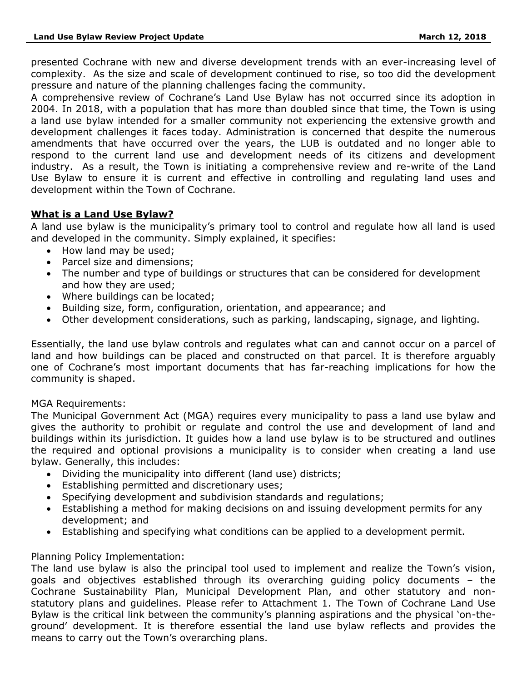presented Cochrane with new and diverse development trends with an ever-increasing level of complexity. As the size and scale of development continued to rise, so too did the development pressure and nature of the planning challenges facing the community.

A comprehensive review of Cochrane's Land Use Bylaw has not occurred since its adoption in 2004. In 2018, with a population that has more than doubled since that time, the Town is using a land use bylaw intended for a smaller community not experiencing the extensive growth and development challenges it faces today. Administration is concerned that despite the numerous amendments that have occurred over the years, the LUB is outdated and no longer able to respond to the current land use and development needs of its citizens and development industry. As a result, the Town is initiating a comprehensive review and re-write of the Land Use Bylaw to ensure it is current and effective in controlling and regulating land uses and development within the Town of Cochrane.

## **What is a Land Use Bylaw?**

A land use bylaw is the municipality's primary tool to control and regulate how all land is used and developed in the community. Simply explained, it specifies:

- How land may be used;
- Parcel size and dimensions;
- The number and type of buildings or structures that can be considered for development and how they are used;
- Where buildings can be located;
- Building size, form, configuration, orientation, and appearance; and
- Other development considerations, such as parking, landscaping, signage, and lighting.

Essentially, the land use bylaw controls and regulates what can and cannot occur on a parcel of land and how buildings can be placed and constructed on that parcel. It is therefore arguably one of Cochrane's most important documents that has far-reaching implications for how the community is shaped.

#### MGA Requirements:

The Municipal Government Act (MGA) requires every municipality to pass a land use bylaw and gives the authority to prohibit or regulate and control the use and development of land and buildings within its jurisdiction. It guides how a land use bylaw is to be structured and outlines the required and optional provisions a municipality is to consider when creating a land use bylaw. Generally, this includes:

- Dividing the municipality into different (land use) districts;
- Establishing permitted and discretionary uses;
- Specifying development and subdivision standards and regulations;
- Establishing a method for making decisions on and issuing development permits for any development; and
- Establishing and specifying what conditions can be applied to a development permit.

#### Planning Policy Implementation:

The land use bylaw is also the principal tool used to implement and realize the Town's vision, goals and objectives established through its overarching guiding policy documents – the Cochrane Sustainability Plan, Municipal Development Plan, and other statutory and nonstatutory plans and guidelines. Please refer to Attachment 1. The Town of Cochrane Land Use Bylaw is the critical link between the community's planning aspirations and the physical 'on-theground' development. It is therefore essential the land use bylaw reflects and provides the means to carry out the Town's overarching plans.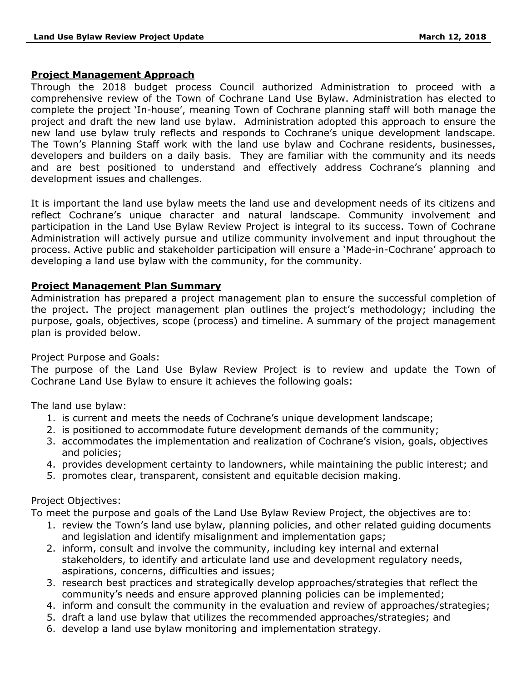#### **Project Management Approach**

Through the 2018 budget process Council authorized Administration to proceed with a comprehensive review of the Town of Cochrane Land Use Bylaw. Administration has elected to complete the project 'In-house', meaning Town of Cochrane planning staff will both manage the project and draft the new land use bylaw. Administration adopted this approach to ensure the new land use bylaw truly reflects and responds to Cochrane's unique development landscape. The Town's Planning Staff work with the land use bylaw and Cochrane residents, businesses, developers and builders on a daily basis. They are familiar with the community and its needs and are best positioned to understand and effectively address Cochrane's planning and development issues and challenges.

It is important the land use bylaw meets the land use and development needs of its citizens and reflect Cochrane's unique character and natural landscape. Community involvement and participation in the Land Use Bylaw Review Project is integral to its success. Town of Cochrane Administration will actively pursue and utilize community involvement and input throughout the process. Active public and stakeholder participation will ensure a 'Made-in-Cochrane' approach to developing a land use bylaw with the community, for the community.

#### **Project Management Plan Summary**

Administration has prepared a project management plan to ensure the successful completion of the project. The project management plan outlines the project's methodology; including the purpose, goals, objectives, scope (process) and timeline. A summary of the project management plan is provided below.

#### Project Purpose and Goals:

The purpose of the Land Use Bylaw Review Project is to review and update the Town of Cochrane Land Use Bylaw to ensure it achieves the following goals:

The land use bylaw:

- 1. is current and meets the needs of Cochrane's unique development landscape;
- 2. is positioned to accommodate future development demands of the community;
- 3. accommodates the implementation and realization of Cochrane's vision, goals, objectives and policies;
- 4. provides development certainty to landowners, while maintaining the public interest; and
- 5. promotes clear, transparent, consistent and equitable decision making.

#### Project Objectives:

To meet the purpose and goals of the Land Use Bylaw Review Project, the objectives are to:

- 1. review the Town's land use bylaw, planning policies, and other related guiding documents and legislation and identify misalignment and implementation gaps;
- 2. inform, consult and involve the community, including key internal and external stakeholders, to identify and articulate land use and development regulatory needs, aspirations, concerns, difficulties and issues;
- 3. research best practices and strategically develop approaches/strategies that reflect the community's needs and ensure approved planning policies can be implemented;
- 4. inform and consult the community in the evaluation and review of approaches/strategies;
- 5. draft a land use bylaw that utilizes the recommended approaches/strategies; and
- 6. develop a land use bylaw monitoring and implementation strategy.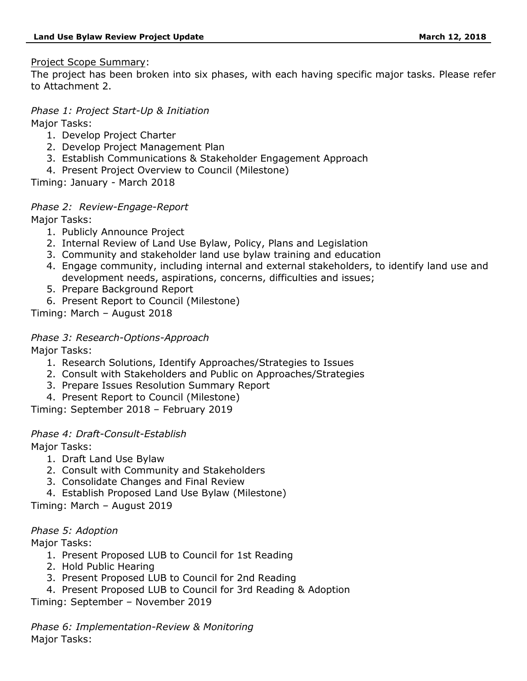### Project Scope Summary:

The project has been broken into six phases, with each having specific major tasks. Please refer to Attachment 2.

## *Phase 1: Project Start-Up & Initiation*

Major Tasks:

- 1. Develop Project Charter
- 2. Develop Project Management Plan
- 3. Establish Communications & Stakeholder Engagement Approach
- 4. Present Project Overview to Council (Milestone)

Timing: January - March 2018

# *Phase 2: Review-Engage-Report*

Major Tasks:

- 1. Publicly Announce Project
- 2. Internal Review of Land Use Bylaw, Policy, Plans and Legislation
- 3. Community and stakeholder land use bylaw training and education
- 4. Engage community, including internal and external stakeholders, to identify land use and development needs, aspirations, concerns, difficulties and issues;
- 5. Prepare Background Report
- 6. Present Report to Council (Milestone)

Timing: March – August 2018

## *Phase 3: Research-Options-Approach*

Major Tasks:

- 1. Research Solutions, Identify Approaches/Strategies to Issues
- 2. Consult with Stakeholders and Public on Approaches/Strategies
- 3. Prepare Issues Resolution Summary Report
- 4. Present Report to Council (Milestone)

Timing: September 2018 – February 2019

## *Phase 4: Draft-Consult-Establish*

Major Tasks:

- 1. Draft Land Use Bylaw
- 2. Consult with Community and Stakeholders
- 3. Consolidate Changes and Final Review
- 4. Establish Proposed Land Use Bylaw (Milestone)

Timing: March – August 2019

## *Phase 5: Adoption*

Major Tasks:

- 1. Present Proposed LUB to Council for 1st Reading
- 2. Hold Public Hearing
- 3. Present Proposed LUB to Council for 2nd Reading
- 4. Present Proposed LUB to Council for 3rd Reading & Adoption

Timing: September – November 2019

*Phase 6: Implementation-Review & Monitoring* Major Tasks: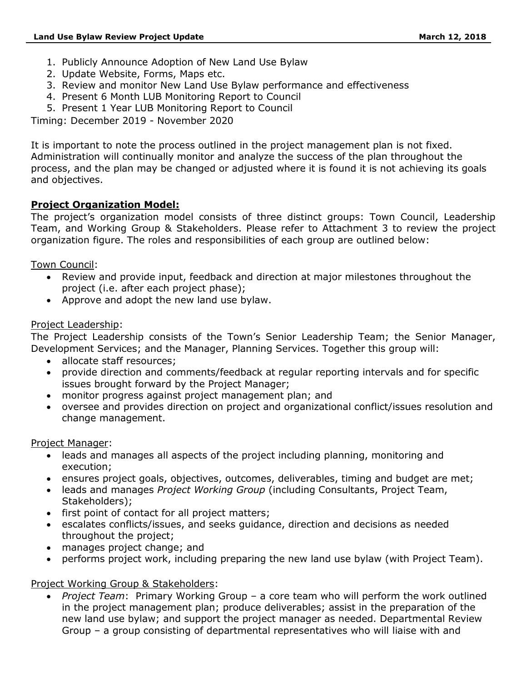- 1. Publicly Announce Adoption of New Land Use Bylaw
- 2. Update Website, Forms, Maps etc.
- 3. Review and monitor New Land Use Bylaw performance and effectiveness
- 4. Present 6 Month LUB Monitoring Report to Council
- 5. Present 1 Year LUB Monitoring Report to Council

Timing: December 2019 - November 2020

It is important to note the process outlined in the project management plan is not fixed. Administration will continually monitor and analyze the success of the plan throughout the process, and the plan may be changed or adjusted where it is found it is not achieving its goals and objectives.

## **Project Organization Model:**

The project's organization model consists of three distinct groups: Town Council, Leadership Team, and Working Group & Stakeholders. Please refer to Attachment 3 to review the project organization figure. The roles and responsibilities of each group are outlined below:

Town Council:

- Review and provide input, feedback and direction at major milestones throughout the project (i.e. after each project phase);
- Approve and adopt the new land use bylaw.

## Project Leadership:

The Project Leadership consists of the Town's Senior Leadership Team; the Senior Manager, Development Services; and the Manager, Planning Services. Together this group will:

- allocate staff resources:
- provide direction and comments/feedback at regular reporting intervals and for specific issues brought forward by the Project Manager;
- monitor progress against project management plan; and
- oversee and provides direction on project and organizational conflict/issues resolution and change management.

#### Project Manager:

- leads and manages all aspects of the project including planning, monitoring and execution;
- ensures project goals, objectives, outcomes, deliverables, timing and budget are met;
- leads and manages *Project Working Group* (including Consultants, Project Team, Stakeholders);
- first point of contact for all project matters;
- escalates conflicts/issues, and seeks guidance, direction and decisions as needed throughout the project;
- manages project change; and
- performs project work, including preparing the new land use bylaw (with Project Team).

## Project Working Group & Stakeholders:

• *Project Team*: Primary Working Group – a core team who will perform the work outlined in the project management plan; produce deliverables; assist in the preparation of the new land use bylaw; and support the project manager as needed. Departmental Review Group – a group consisting of departmental representatives who will liaise with and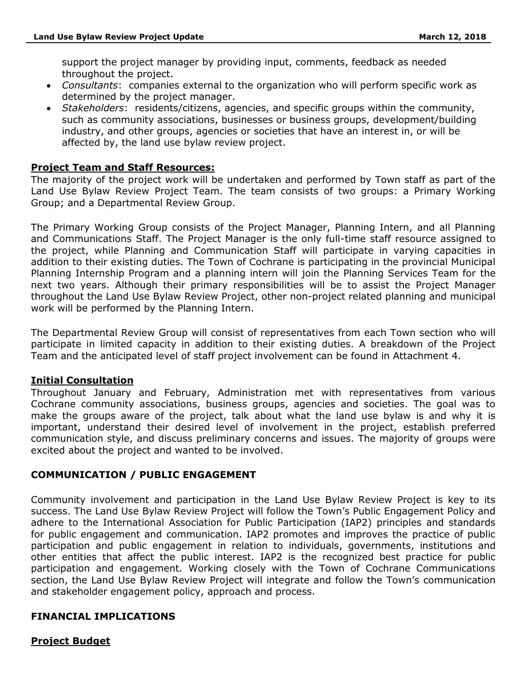support the project manager by providing input, comments, feedback as needed throughout the project.

- *Consultants*: companies external to the organization who will perform specific work as determined by the project manager.
- *Stakeholders*: residents/citizens, agencies, and specific groups within the community, such as community associations, businesses or business groups, development/building industry, and other groups, agencies or societies that have an interest in, or will be affected by, the land use bylaw review project.

## **Project Team and Staff Resources:**

The majority of the project work will be undertaken and performed by Town staff as part of the Land Use Bylaw Review Project Team. The team consists of two groups: a Primary Working Group; and a Departmental Review Group.

The Primary Working Group consists of the Project Manager, Planning Intern, and all Planning and Communications Staff. The Project Manager is the only full-time staff resource assigned to the project, while Planning and Communication Staff will participate in varying capacities in addition to their existing duties. The Town of Cochrane is participating in the provincial Municipal Planning Internship Program and a planning intern will join the Planning Services Team for the next two years. Although their primary responsibilities will be to assist the Project Manager throughout the Land Use Bylaw Review Project, other non-project related planning and municipal work will be performed by the Planning Intern.

The Departmental Review Group will consist of representatives from each Town section who will participate in limited capacity in addition to their existing duties. A breakdown of the Project Team and the anticipated level of staff project involvement can be found in Attachment 4.

## **Initial Consultation**

Throughout January and February, Administration met with representatives from various Cochrane community associations, business groups, agencies and societies. The goal was to make the groups aware of the project, talk about what the land use bylaw is and why it is important, understand their desired level of involvement in the project, establish preferred communication style, and discuss preliminary concerns and issues. The majority of groups were excited about the project and wanted to be involved.

## **COMMUNICATION / PUBLIC ENGAGEMENT**

Community involvement and participation in the Land Use Bylaw Review Project is key to its success. The Land Use Bylaw Review Project will follow the Town's Public Engagement Policy and adhere to the International Association for Public Participation (IAP2) principles and standards for public engagement and communication. IAP2 promotes and improves the practice of public participation and public engagement in relation to individuals, governments, institutions and other entities that affect the public interest. IAP2 is the recognized best practice for public participation and engagement. Working closely with the Town of Cochrane Communications section, the Land Use Bylaw Review Project will integrate and follow the Town's communication and stakeholder engagement policy, approach and process.

## **FINANCIAL IMPLICATIONS**

## **Project Budget**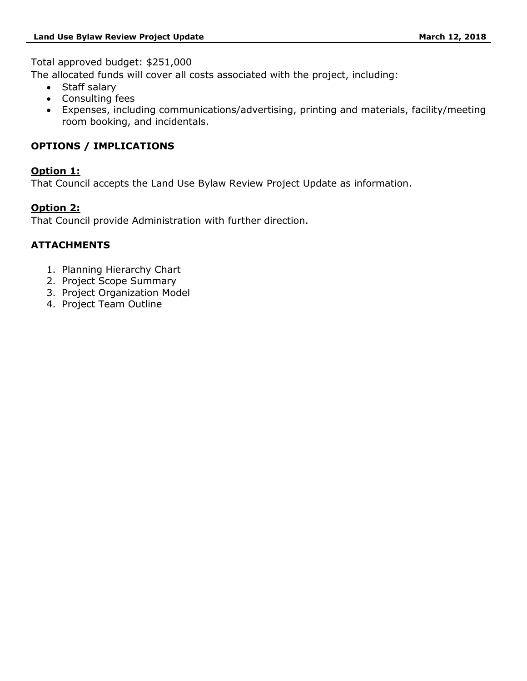Total approved budget: \$251,000

The allocated funds will cover all costs associated with the project, including:

- Staff salary
- Consulting fees
- Expenses, including communications/advertising, printing and materials, facility/meeting room booking, and incidentals.

# **OPTIONS / IMPLICATIONS**

## **Option 1:**

That Council accepts the Land Use Bylaw Review Project Update as information.

# **Option 2:**

That Council provide Administration with further direction.

# **ATTACHMENTS**

- 1. Planning Hierarchy Chart
- 2. Project Scope Summary
- 3. Project Organization Model
- 4. Project Team Outline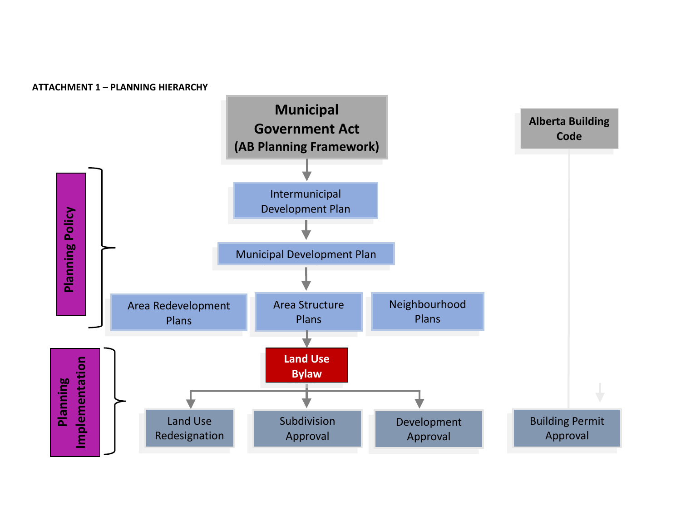**ATTACHMENT 1 – PLANNING HIERARCHY**

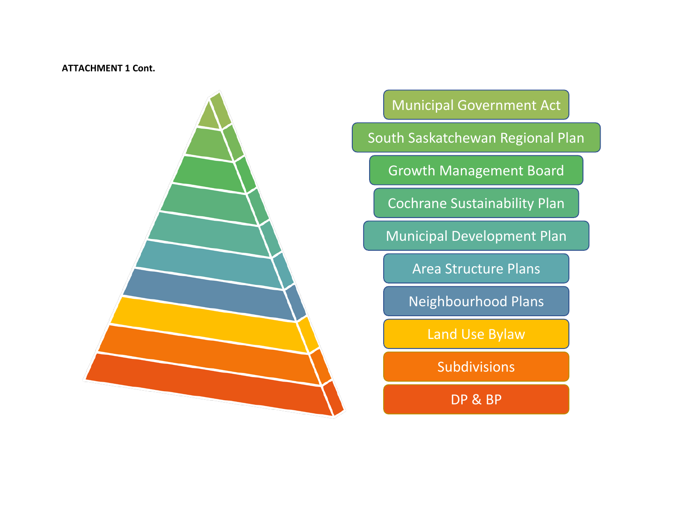### **ATTACHMENT 1 Cont.**



Municipal Government Act

South Saskatchewan Regional Plan

Growth Management Board

Cochrane Sustainability Plan

Municipal Development Plan

Area Structure Plans

Neighbourhood Plans

Land Use Bylaw

Subdivisions

DP & BP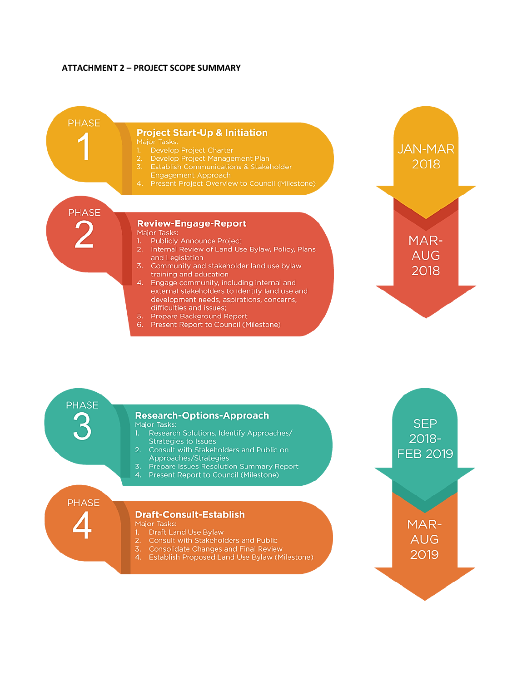#### **ATTACHMENT 2 - PROJECT SCOPE SUMMARY**



**PHASE** 

#### **Research-Options-Approach** Major Tasks:

- Research Solutions, Identify Approaches/ **Strategies to Issues**
- Consult with Stakeholders and Public on  $\overline{2}$ . Approaches/Strategies
- Prepare Issues Resolution Summary Report  $\overline{3}$ .
- 4. Present Report to Council (Milestone)

**PHASE** 

#### **Draft-Consult-Establish**

Major Tasks: Draft Land Use Bylaw

- Consult with Stakeholders and Public
- $\overline{3}$ **Consolidate Changes and Final Review**
- 4. Establish Proposed Land Use Bylaw (Milestone)

**SEP** 2018-**FEB 2019** 

> MAR-**AUG** 2019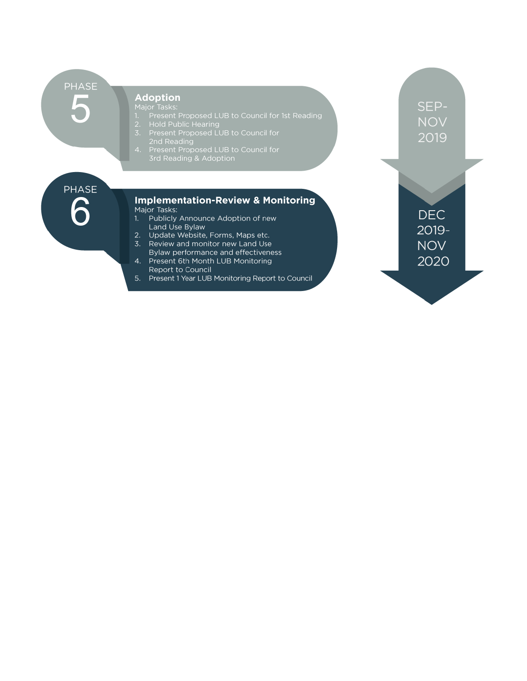**PHASE College** 

#### **Adoption**

- 
- 
- **Adoption**<br>
Major Tasks:<br>
1. Present Proposed LUB to Council for 1st Reading<br>
2. Hold Public Hearing<br>
3. Present Proposed LUB to Council for<br>
2nd Reading<br>
4. Present Proposed LUB to Council for<br>
3rd Reading & Adoption
- 

**PHASE** 

#### Implementation-Review & Monitoring Major Tasks:

- 1. Publicly Announce Adoption of new Land Use Bylaw
- 2. Update Website, Forms, Maps etc.
- 3. Review and monitor new Land Use Bylaw performance and effectiveness
- 4. Present 6th Month LUB Monitoring Report to Council
- 5. Present 1 Year LUB Monitoring Report to Council

SEP-**NOV** 2019

**DEC** 2019-**NOV** 2020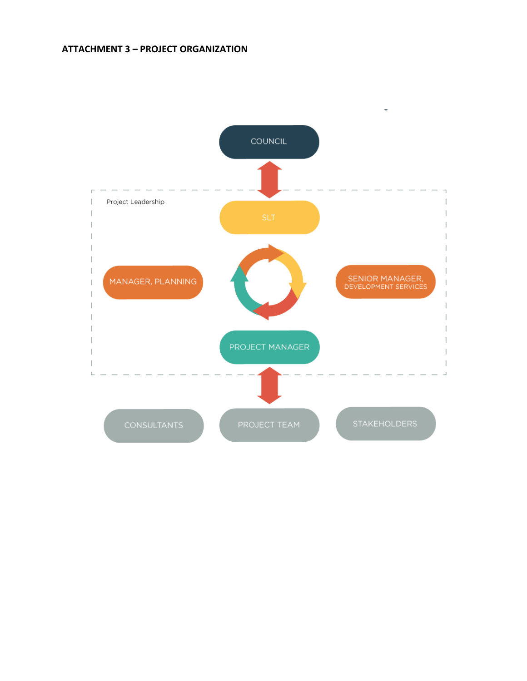